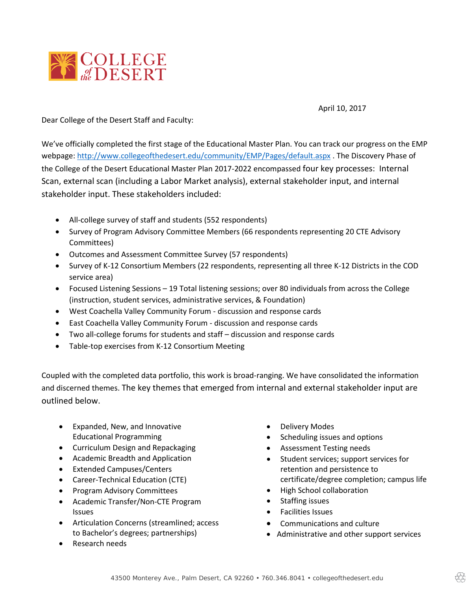

April 10, 2017

Dear College of the Desert Staff and Faculty:

We've officially completed the first stage of the Educational Master Plan. You can track our progress on the EMP webpage:<http://www.collegeofthedesert.edu/community/EMP/Pages/default.aspx> . The Discovery Phase of the College of the Desert Educational Master Plan 2017-2022 encompassed four key processes: Internal Scan, external scan (including a Labor Market analysis), external stakeholder input, and internal stakeholder input. These stakeholders included:

- All-college survey of staff and students (552 respondents)
- Survey of Program Advisory Committee Members (66 respondents representing 20 CTE Advisory Committees)
- Outcomes and Assessment Committee Survey (57 respondents)
- Survey of K-12 Consortium Members (22 respondents, representing all three K-12 Districts in the COD service area)
- Focused Listening Sessions 19 Total listening sessions; over 80 individuals from across the College (instruction, student services, administrative services, & Foundation)
- West Coachella Valley Community Forum discussion and response cards
- East Coachella Valley Community Forum discussion and response cards
- Two all-college forums for students and staff discussion and response cards
- Table-top exercises from K-12 Consortium Meeting

Coupled with the completed data portfolio, this work is broad-ranging. We have consolidated the information and discerned themes. The key themes that emerged from internal and external stakeholder input are outlined below.

- Expanded, New, and Innovative Educational Programming
- Curriculum Design and Repackaging
- Academic Breadth and Application
- Extended Campuses/Centers
- Career-Technical Education (CTE)
- Program Advisory Committees
- Academic Transfer/Non-CTE Program Issues
- Articulation Concerns (streamlined; access to Bachelor's degrees; partnerships)
- Research needs
- Delivery Modes
- Scheduling issues and options
- Assessment Testing needs
- Student services; support services for retention and persistence to certificate/degree completion; campus life
- High School collaboration
- Staffing issues
- Facilities Issues
- Communications and culture
- Administrative and other support services